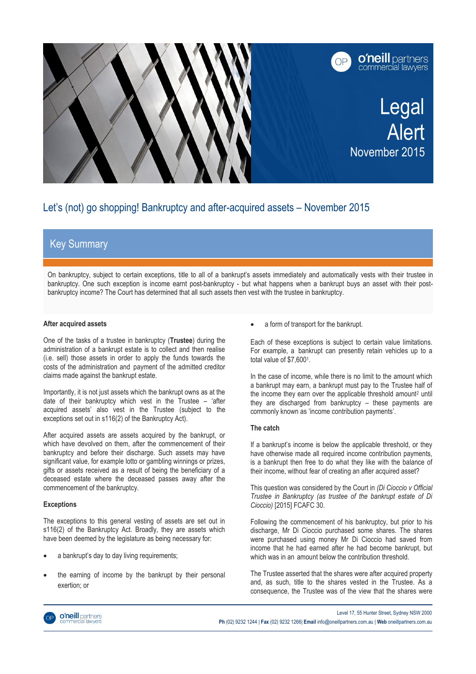

# Let's (not) go shopping! Bankruptcy and after-acquired assets – November 2015

## Key Summary

On bankruptcy, subject to certain exceptions, title to all of a bankrupt's assets immediately and automatically vests with their trustee in bankruptcy. One such exception is income earnt post-bankruptcy - but what happens when a bankrupt buys an asset with their postbankruptcy income? The Court has determined that all such assets then vest with the trustee in bankruptcy.

#### **After acquired assets**

One of the tasks of a trustee in bankruptcy (**Trustee**) during the administration of a bankrupt estate is to collect and then realise (i.e. sell) those assets in order to apply the funds towards the costs of the administration and payment of the admitted creditor claims made against the bankrupt estate.

Importantly, it is not just assets which the bankrupt owns as at the date of their bankruptcy which vest in the Trustee – 'after acquired assets' also vest in the Trustee (subject to the exceptions set out in s116(2) of the Bankruptcy Act).

After acquired assets are assets acquired by the bankrupt, or which have devolved on them, after the commencement of their bankruptcy and before their discharge. Such assets may have significant value, for example lotto or gambling winnings or prizes, gifts or assets received as a result of being the beneficiary of a deceased estate where the deceased passes away after the commencement of the bankruptcy.

### **Exceptions**

The exceptions to this general vesting of assets are set out in s116(2) of the Bankruptcy Act. Broadly, they are assets which have been deemed by the legislature as being necessary for:

- a bankrupt's day to day living requirements;
- the earning of income by the bankrupt by their personal exertion; or

a form of transport for the bankrupt.

Each of these exceptions is subject to certain value limitations. For example, a bankrupt can presently retain vehicles up to a total value of \$7,600<sup>1</sup>.

In the case of income, while there is no limit to the amount which a bankrupt may earn, a bankrupt must pay to the Trustee half of the income they earn over the applicable threshold amount<sup>2</sup> until they are discharged from bankruptcy – these payments are commonly known as 'income contribution payments'.

#### **The catch**

If a bankrupt's income is below the applicable threshold, or they have otherwise made all required income contribution payments, is a bankrupt then free to do what they like with the balance of their income, without fear of creating an after acquired asset?

This question was considered by the Court in *(Di Cioccio v Official Trustee in Bankruptcy (as trustee of the bankrupt estate of Di Cioccio)* [2015] FCAFC 30.

Following the commencement of his bankruptcy, but prior to his discharge, Mr Di Cioccio purchased some shares. The shares were purchased using money Mr Di Cioccio had saved from income that he had earned after he had become bankrupt, but which was in an amount below the contribution threshold.

The Trustee asserted that the shares were after acquired property and, as such, title to the shares vested in the Trustee. As a consequence, the Trustee was of the view that the shares were



Level 17, 55 Hunter Street, Sydney NSW 2000 **Ph** (02) 9232 1244 | **Fax** (02) 9232 1266| **Email** info@oneillpartners.com.au | **Web** oneillpartners.com.au